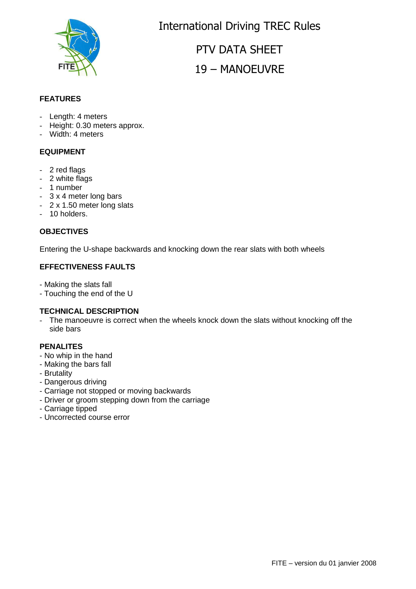

International Driving TREC Rules

PTV DATA SHEET 19 – MANOEUVRE

### **FEATURES**

- Length: 4 meters
- Height: 0.30 meters approx.
- Width: 4 meters

#### **EQUIPMENT**

- 2 red flags
- 2 white flags
- 1 number
- 3 x 4 meter long bars
- 2 x 1.50 meter long slats
- 10 holders.

#### **OBJECTIVES**

Entering the U-shape backwards and knocking down the rear slats with both wheels

### **EFFECTIVENESS FAULTS**

- Making the slats fall
- Touching the end of the U

#### **TECHNICAL DESCRIPTION**

The manoeuvre is correct when the wheels knock down the slats without knocking off the side bars

#### **PENALITES**

- No whip in the hand
- Making the bars fall
- Brutality
- Dangerous driving
- Carriage not stopped or moving backwards
- Driver or groom stepping down from the carriage
- Carriage tipped
- Uncorrected course error